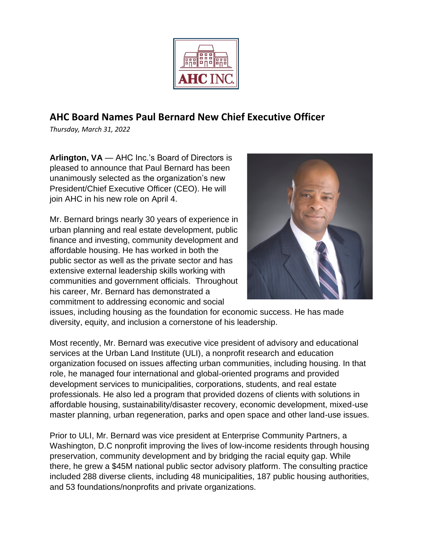

## **AHC Board Names Paul Bernard New Chief Executive Officer**

*Thursday, March 31, 2022*

**Arlington, VA** — AHC Inc.'s Board of Directors is pleased to announce that Paul Bernard has been unanimously selected as the organization's new President/Chief Executive Officer (CEO). He will join AHC in his new role on April 4.

Mr. Bernard brings nearly 30 years of experience in urban planning and real estate development, public finance and investing, community development and affordable housing. He has worked in both the public sector as well as the private sector and has extensive external leadership skills working with communities and government officials. Throughout his career, Mr. Bernard has demonstrated a commitment to addressing economic and social



issues, including housing as the foundation for economic success. He has made diversity, equity, and inclusion a cornerstone of his leadership.

Most recently, Mr. Bernard was executive vice president of advisory and educational services at the Urban Land Institute (ULI), a nonprofit research and education organization focused on issues affecting urban communities, including housing. In that role, he managed four international and global-oriented programs and provided development services to municipalities, corporations, students, and real estate professionals. He also led a program that provided dozens of clients with solutions in affordable housing, sustainability/disaster recovery, economic development, mixed-use master planning, urban regeneration, parks and open space and other land-use issues.

Prior to ULI, Mr. Bernard was vice president at Enterprise Community Partners, a Washington, D.C nonprofit improving the lives of low-income residents through housing preservation, community development and by bridging the racial equity gap. While there, he grew a \$45M national public sector advisory platform. The consulting practice included 288 diverse clients, including 48 municipalities, 187 public housing authorities, and 53 foundations/nonprofits and private organizations.